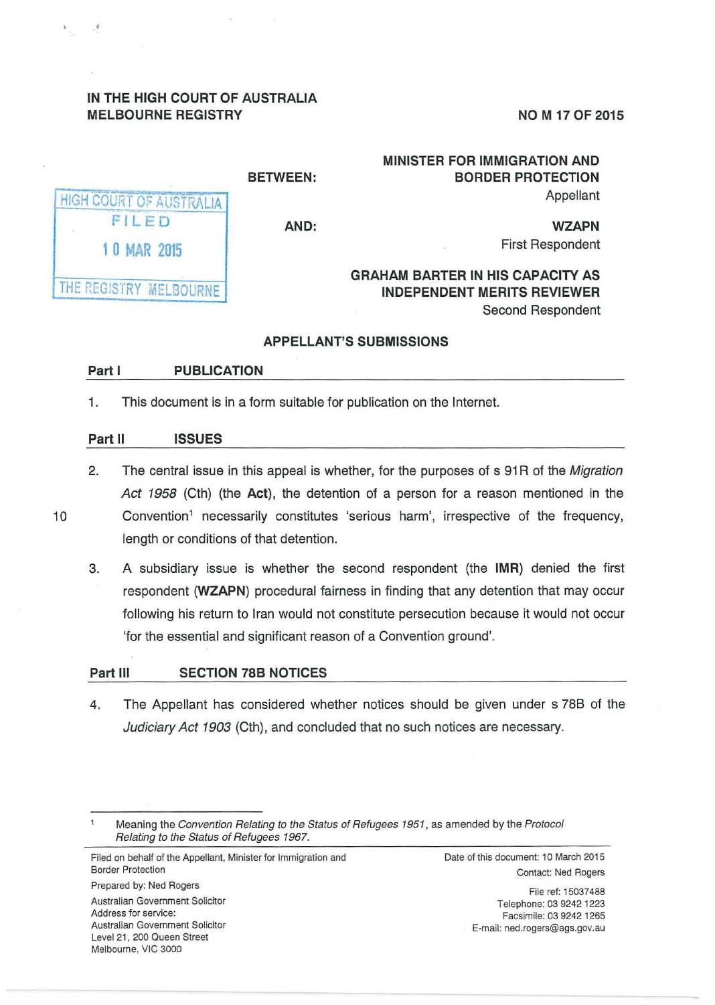## **IN THE HIGH COURT OF AUSTRALIA MELBOURNE REGISTRY**

**NO M 17 OF 2015** 

|                         | <b>BETWEEN:</b> |
|-------------------------|-----------------|
| HIGH COURT OF AUSTRALIA |                 |
| FILED                   | AND:            |
| <b>10 MAR 2015</b>      |                 |
|                         |                 |
| THE REGISTRY MELBOURNE  |                 |

## **MINISTER FOR IMMIGRATION AND BORDER PROTECTION**  Appellant

**AND:** 

**WZAPN**  First Respondent

# **GRAHAM BARTER IN HIS CAPACITY AS INDEPENDENT MERITS REVIEWER**  Second Respondent

## **APPELLANT'S SUBMISSIONS**

## **Part I PUBLICATION**

1. This document is in a form suitable for publication on the Internet.

#### **Part II ISSUES**

- 2. The central issue in this appeal is whether, for the purposes of s 91R of the Migration Act 1958 (Cth) (the **Act),** the detention of a person for a reason mentioned in the 10 Convention<sup>1</sup> necessarily constitutes 'serious harm', irrespective of the frequency, length or conditions of that detention.
	- 3. A subsidiary issue is whether the second respondent (the **IMR)** denied the first respondent **(WZAPN)** procedural fairness in finding that any detention that may occur following his return to Iran would not constitute persecution because it would not occur 'for the essential and significant reason of a Convention ground'.

## **Part Ill SECTION 78B NOTICES**

4. The Appellant has considered whether notices should be given under s 78B of the Judiciary Act 1903 (Cth), and concluded that no such notices are necessary.

Prepared by: Ned Rogers Australian Government Solicitor Address for service: Australian Government Solicitor Level 21, 200 Queen Street Melbourne, VIC 3000

Date of this document: 10 March 2015 Contact: Ned Rogers

> File ref: 15037488 Telephone: 03 9242 1223 Facsimile: 03 9242 1265 E-mail: ned.rogers@ags.gov.au

Meaning the Convention Relating to the Status of Refugees 1951, as amended by the Protocol Relating to the Status of Refugees 1967.

Filed on behalf of the Appellant, Minister for Immigration and Border Protection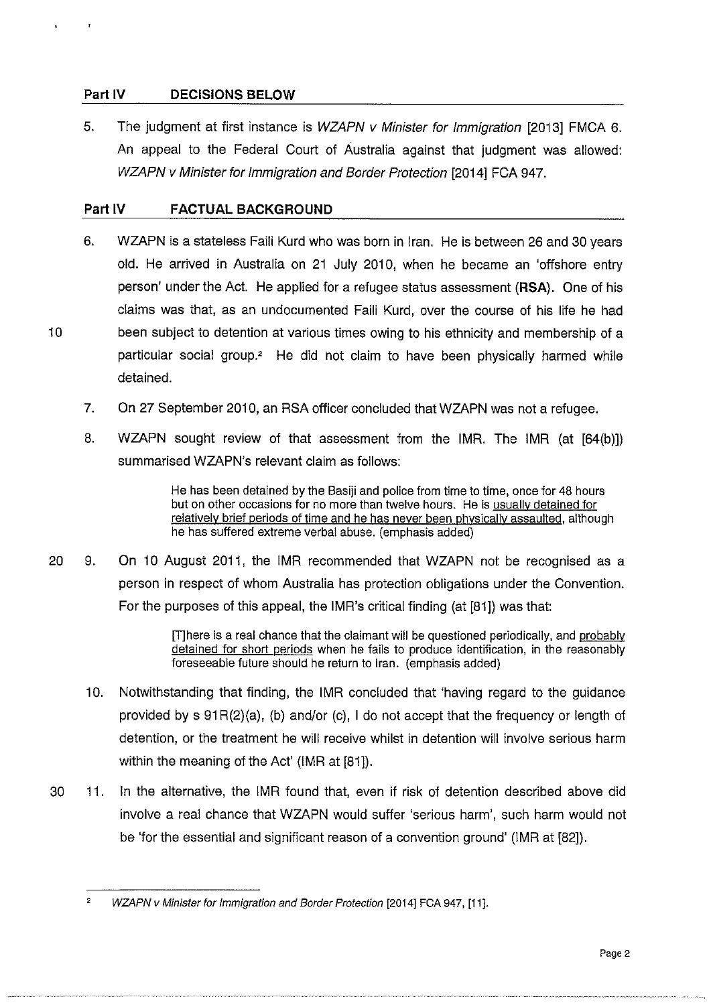## **Part IV DECISIONS BELOW**

5. The judgment at first instance is *WZAPN v Minister for Immigration* [2013] FMCA 6. An appeal to the Federal Court of Australia against that judgment was allowed: WZAPN v Minister for Immigration and Border Protection [2014] FCA 947.

#### **Part IV FACTUAL BACKGROUND**

- 6. WZAPN is a stateless Faili Kurd who was born in Iran. He is between 26 and 30 years old. He arrived in Australia on 21 July 2010, when he became an 'offshore entry person' under the Act. He applied for a refugee status assessment **(RSA).** One of his claims was that, as an undocumented Faili Kurd, over the course of his life he had 10 been subject to detention at various times owing to his ethnicity and membership of a particular social group? He did not claim to have been physically harmed while detained.
	- 7. On 27 September 2010, an RSA officer concluded that WZAPN was not a refugee.
	- 8. WZAPN sought review of that assessment from the IMR. The IMR (at [64(b)]) summarised WZAPN's relevant claim as follows:

He has been detained by the Basiji and police from time to time, once for 48 hours but on other occasions for no more than twelve hours. He is usually detained for relatively brief periods of time and he has never been physically assaulted, although he has suffered extreme verbal abuse. (emphasis added)

20 9. On 10 August 2011, the IMR recommended that WZAPN not be recognised as a person in respect of whom Australia has protection obligations under the Convention. For the purposes of this appeal, the IMR's critical finding (at [81]) was that:

> [T]here is a real chance that the claimant will be questioned periodically, and probably detained for short periods when he fails to produce identification, in the reasonably foreseeable future should he return to Iran. (emphasis added)

- 10. Notwithstanding that finding, the IMR concluded that 'having regard to the guidance provided by  $s$  91R(2)(a), (b) and/or (c), I do not accept that the frequency or length of detention, or the treatment he will receive whilst in detention will involve serious harm within the meaning of the Act' (IMR at [81]).
- 30 11. In the alternative, the IMR found that, even if risk of detention described above did involve a real chance that WZAPN would suffer 'serious harrn', such harrn would not be 'for the essential and significant reason of a convention ground' (IMR at [82]).

 $\overline{2}$ WZAPN v Minister for Immigration and Border Protection (2014] FCA 947, (11].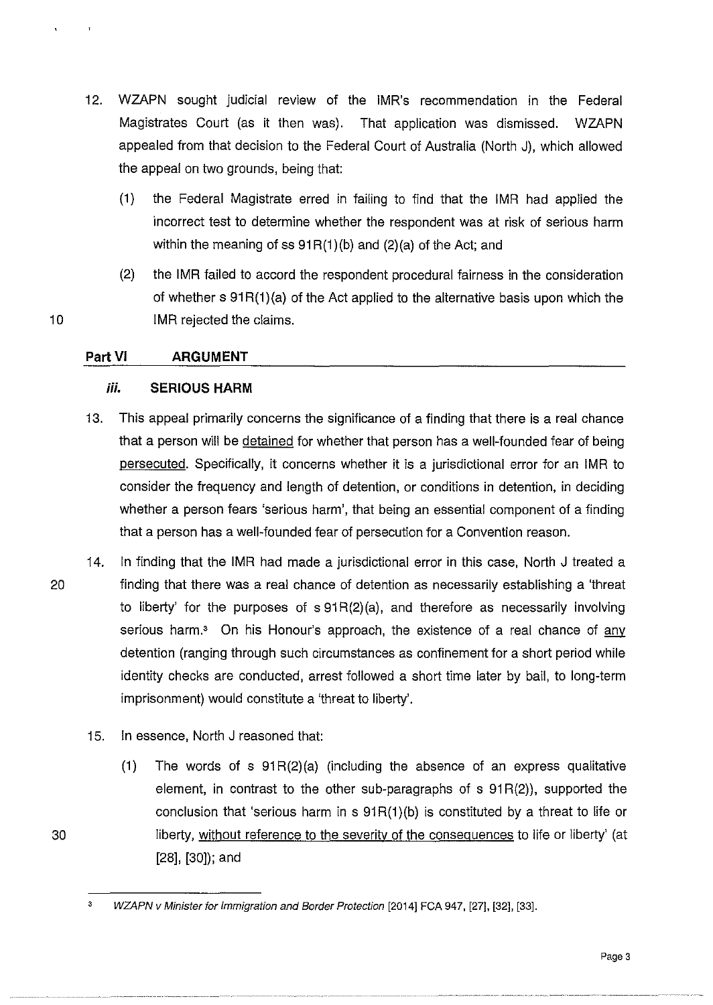- 12. WZAPN sought judicial review of the IMR's recommendation in the Federal Magistrates Court (as it then was). That application was dismissed. WZAPN appealed from that decision to the Federal Court of Australia (North J). which allowed the appeal on two grounds, being that:
	- (1) the Federal Magistrate erred in failing to find that the IMR had applied the incorrect test to determine whether the respondent was at risk of serious harm within the meaning of ss  $91R(1)$ (b) and  $(2)$ (a) of the Act; and
- (2) the IMR failed to accord the respondent procedural fairness in the consideration of whether  $s \theta 1 R(1)(a)$  of the Act applied to the alternative basis upon which the 10 IMR rejected the claims.

## **Part VI ARGUMENT**

## *iii.* **SERIOUS HARM**

- 13. This appeal primarily concerns the significance of a finding that there is a real chance that a person will be detained for whether that person has a well-founded fear of being persecuted. Specifically, it concerns whether it is a jurisdictional error for an IMR to consider the frequency and length of detention, or conditions in detention, in deciding whether a person fears 'serious harm', that being an essential component of a finding that a person has a well-founded fear of persecution for a Convention reason.
- 14. In finding that the IMR had made a jurisdictional error in this case, North J treated a 20 finding that there was a real chance of detention as necessarily establishing a 'threat to liberty' for the purposes of  $s 91R(2)(a)$ , and therefore as necessarily involving serious harm.<sup>3</sup> On his Honour's approach, the existence of a real chance of any detention (ranging through such circumstances as confinement for a short period while identity checks are conducted, arrest followed a short time later by bail, to long-term imprisonment) would constitute a 'threat to liberty'.
	- 15. In essence, North J reasoned that:
		- (1) The words of s  $91R(2)(a)$  (including the absence of an express qualitative element, in contrast to the other sub-paragraphs of  $s$  91 $R(2)$ ), supported the conclusion that 'serious harm in  $s$  91 $R(1)(b)$  is constituted by a threat to life or liberty, without reference to the severity of the consequences to life or liberty' (at [28]. [30]); and

<sup>3</sup>  WZAPN v Minister for Immigration and Border Protection [2014] FCA 947, [27], [32], [33].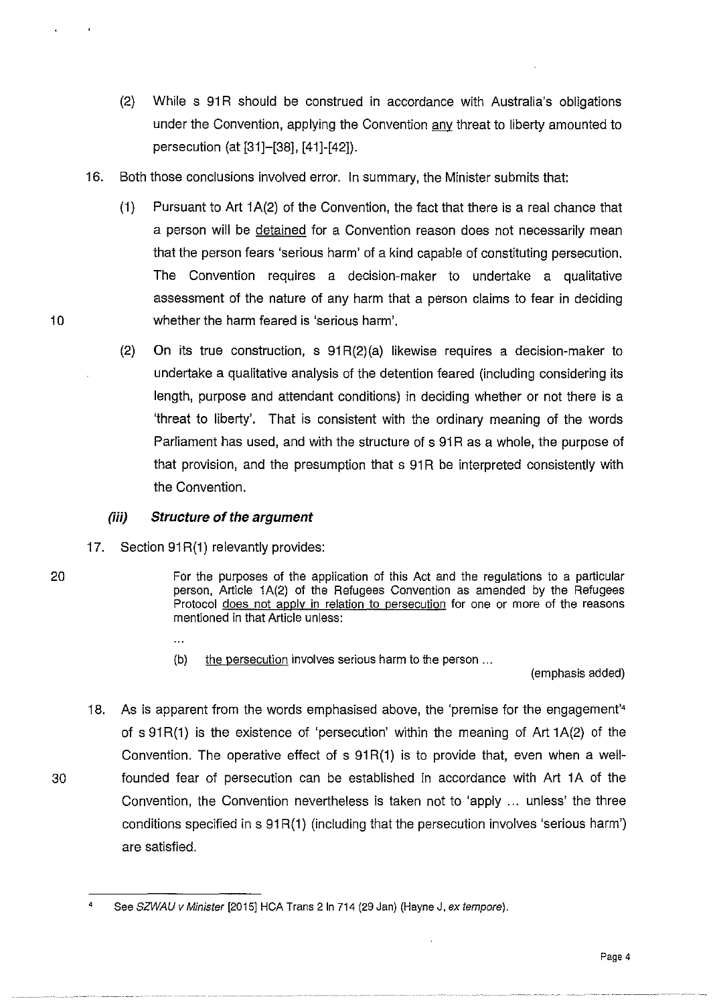- (2) While s 91R should be construed in accordance with Australia's obligations under the Convention, applying the Convention any threat to liberty amounted to persecution (at [31]-[38], [41]-[42]}.
- 16. Both those conclusions involved error. In summary, the Minister submits that:
- (1) Pursuant to Art  $1A(2)$  of the Convention, the fact that there is a real chance that a person will be detained for a Convention reason does not necessarily mean that the person fears 'serious harm' of a kind capable of constituting persecution. The Convention requires a decision-maker to undertake a qualitative assessment of the nature of any harm that a person claims to fear in deciding 10 whether the harm feared is 'serious harm'.
	- (2} On its true construction, s 91 R(2}(a} likewise requires a decision-maker to undertake a qualitative analysis of the detention feared (including considering its length, purpose and attendant conditions) in deciding whether or not there is a 'threat to liberty'. That is consistent with the ordinary meaning of the words Parliament has used, and with the structure of s 91R as a whole, the purpose of that provision, and the presumption that s 91R be interpreted consistently with the Convention.

## *(iii)* **Structure of the argument**

17. Section 91R(1) relevantly provides:

 $\ddotsc$ 

- 20 For the purposes of the application of this Act and the regulations to a particular person, Article 1A(2) of the Refugees Convention as amended by the Refugees Protocol does not apply in relation to persecution for one or more of the reasons mentioned in that Article unless:
	- (b) the persecution involves serious harm to the person ...

(emphasis added)

18. As is apparent from the words emphasised above, the 'premise for the engagement'• of s 91R(1) is the existence of 'persecution' within the meaning of Art 1A(2) of the Convention. The operative effect of  $s$  91 $R(1)$  is to provide that, even when a well-30 founded fear of persecution can be established in accordance with Art 1A of the Convention, the Convention nevertheless is taken not to 'apply ... unless' the three conditions specified in s 91R(1) (including that the persecution involves 'serious harm') are satisfied.

See SZWAU v Minister [2015] HCA Trans 2 In 714 (29 Jan) (Hayne J, ex tempore).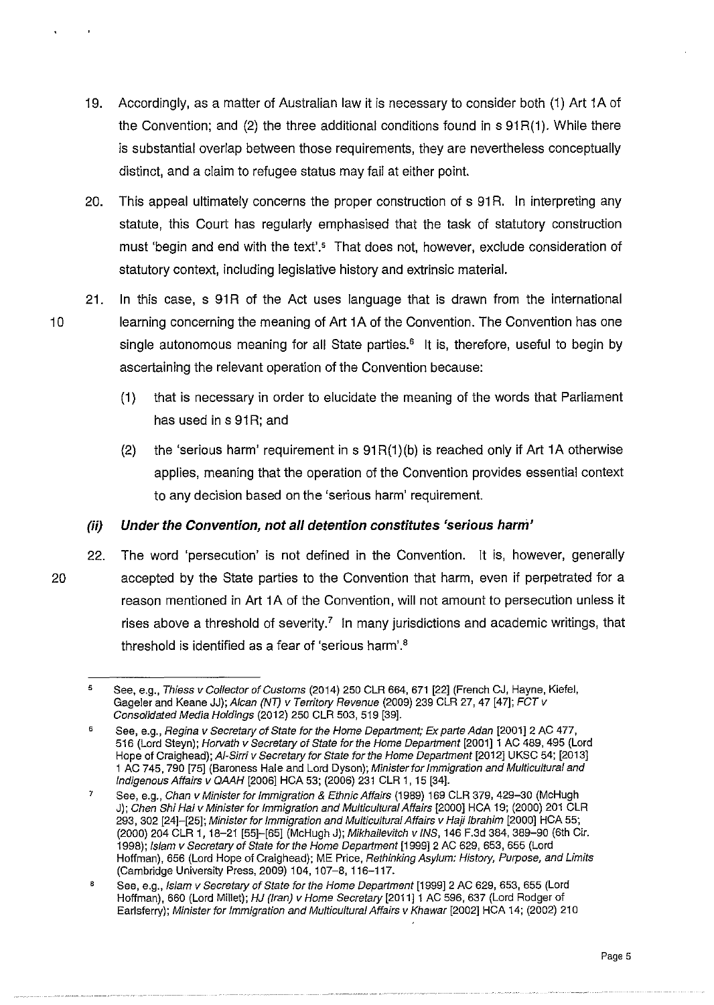- 19. Accordingly, as a matter of Australian law it is necessary to consider both (1) Art 1 A of the Convention; and  $(2)$  the three additional conditions found in s  $91R(1)$ . While there is substantial overlap between those requirements, they are nevertheless conceptually distinct, and a claim to refugee status may fail at either point.
- 20. This appeal ultimately concerns the proper construction of s 91 R. In interpreting any statute, this Court has regularly emphasised that the task of statutory construction must 'begin and end with the text'.<sup>5</sup> That does not, however, exclude consideration of statutory context, including legislative history and extrinsic material.
- 21. In this case, s 91R of the Act uses language that is drawn from the international 10 learning concerning the meaning of Art 1 A of the Convention. The Convention has one single autonomous meaning for all State parties.<sup>6</sup> It is, therefore, useful to begin by ascertaining the relevant operation of the Convention because:
	- (1) that is necessary in order to elucidate the meaning of the words that Parliament has used in s 91R; and
	- (2) the 'serious harm' requirement in s  $91R(1)(b)$  is reached only if Art 1A otherwise applies, meaning that the operation of the Convention provides essential context to any decision based on the 'serious harm' requirement.

## *(ii)* **Under the Convention, not all detention constitutes 'serious harni'**

22. The word 'persecution' is not defined in the Convention. It is, however, generally 20 accepted by the State parties to the Convention that harm, even if perpetrated for a reason mentioned in Art 1A of the Convention, will not amount to persecution unless it rises above a threshold of severity.<sup>7</sup> In many jurisdictions and academic writings, that threshold is identified as a fear of 'serious harm'.<sup>8</sup>

<sup>5</sup>  See, e.g., Thiess v Collector of Customs (2014) 250 CLR 664, 671 [22] (French CJ, Hayne, Kiefel, Gageler and Keane JJ); Alcan (NT) v Territory Revenue (2009) 239 CLR 27, 47 [47]; FCT v Consolidated Media Holdings (2012) 250 CLR 503,519 [39].

<sup>6</sup>  See, e.g., Regina v Secretary of State for the Home Department; Ex parte Adan [2001] 2 AC 477, 516 (Lord Steyn); Horvath v Secretary of State for the Home Department [2001]1 AC 489, 495 (Lord Hope of Craighead); AI-Sirri v Secretary for State for the Home Department [2012] UKSC 54; [2013] 1 AC 745,790 [75] (Baroness Hale and Lord Dyson); Minister for Immigration and Multicultural and Indigenous Affairs v QMH [2006] HCA 53; (2006) 231 CLR 1, 15 [34].

<sup>7</sup>  See, e.g., Chan v Minister for Immigration & Ethnic Affairs (1989) 169 CLR 379, 429-30 (McHugh J); Chen Shi Hai v Minister for Immigration and Multicultural Affairs [2000] HCA 19; (2000) 201 CLR 293, 302 [24]-[25]; Minister for Immigration and Multicultural Affairs v Haji Ibrahim [2000] HCA 55; (2000) 204 CLR 1, 18-21 [55]-[65] (McHugh J); Mikhailevitch v INS, 146 F.3d 384, 389-90 (6th Cir. 1998); Islam v Secretary of State for the Home Department [1999]2 AC 629, 653, 655 (Lord Hoffman), 656 (Lord Hope of Craighead); ME Price, Rethinking Asylum: History, Purpose, and Limits (Cambridge University Press, 2009) 104, 107-8, 116-117.

a See, e.g., Islam v Secretary of State for the Home Department [1999] 2 AC 629, 653, 655 (Lord Hoffman), 660 (Lord Millet); HJ (Iran) v Home Secretary [2011] 1 AC 596, 637 (Lord Rodger of Earlsferry); Minister for Immigration and Multicultural Affairs v Khawar [2002] HCA 14; (2002) 210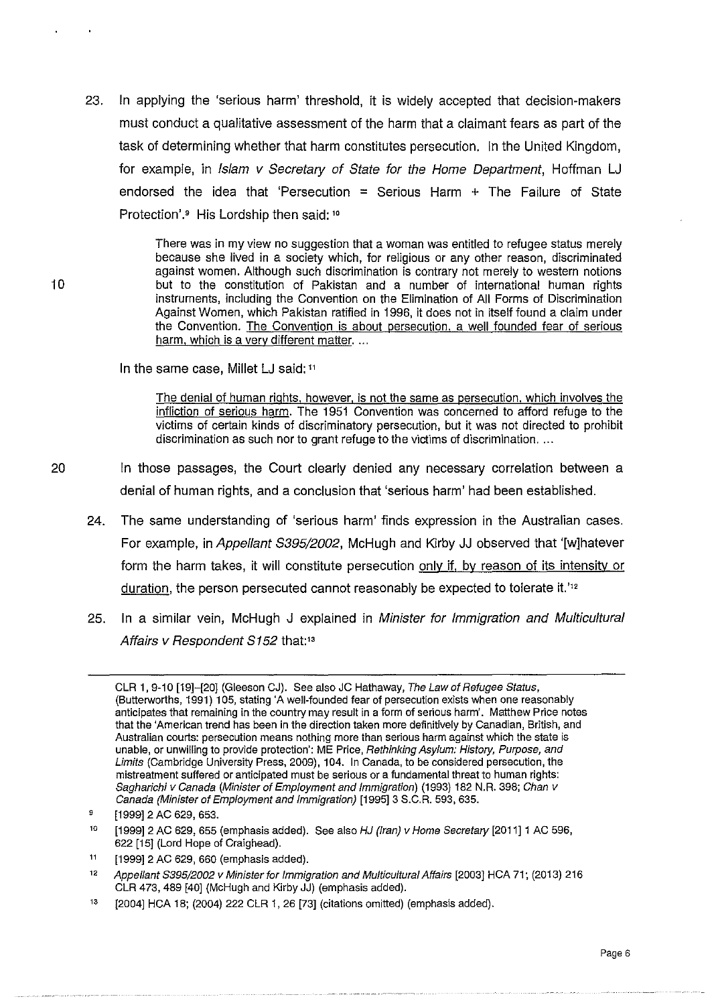23. In applying the 'serious harm' threshold, it is widely accepted that decision-makers must conduct a qualitative assessment of the harm that a claimant fears as part of the task of determining whether that harm constitutes persecution. In the United Kingdom, for example, in Islam v Secretary of State for the Home Department, Hoffman LJ endorsed the idea that 'Persecution  $=$  Serious Harm  $+$  The Failure of State Protection'.• His Lordship then said: <sup>10</sup>

> There was in my view no suggestion that a woman was entitled to refugee status merely because she lived in a society which, for religious or any other reason, discriminated against women. Although such discrimination is contrary not merely to western notions but to the constitution of Pakistan and a number of international human rights instruments, including the Convention on the Elimination of All Forms of Discrimination Against Women, which Pakistan ratified in 1996, it does not in itself found a claim under the Convention. The Convention is about persecution, a well founded fear of serious harm, which is a very different matter. ...

In the same case, Millet LJ said: 11

The denial of human rights. however, is not the same as persecution, which involves the infliction of serious harm. The 1951 Convention was concerned to afford refuge to the victims of certain kinds of discriminatory persecution, but it was not directed to prohibit discrimination as such nor to grant refuge to the victims of discrimination. ...

- 20 In those passages, the Court clearly denied any necessary correlation between a denial of human rights, and a conclusion that 'serious harm' had been established.
	- 24. The same understanding of 'serious harm' finds expression in the Australian cases. For example, in Appellant S395/2002, McHugh and Kirby JJ observed that '[w]hatever form the harm takes, it will constitute persecution only if, by reason of its intensity or duration, the person persecuted cannot reasonably be expected to tolerate it.'<sup>12</sup>
	- 25. In a similar vein, McHugh J explained in Minister for Immigration and Multicultural Affairs v Respondent S152 that:<sup>13</sup>

CLR 1, 9-10 [19]-[20] (Gleeson CJ). See also JC Hathaway, The Law of Refugee Status, (Butterworths, 1991) 1 05, stating 'A well-founded fear of persecution exists when one reasonably anticipates that remaining in the country may result in a form of serious harm'. Matthew Price notes that the 'American trend has been in the direction taken more definitively by Canadian, British, and Australian courts: persecution means nothing more than serious harm against which the state is unable, or unwilling to provide protection': ME Price, Rethinking Asylum: History, Purpose, and Limits (Cambridge University Press, 2009), 104. In Canada, to be considered persecution, the mistreatment suffered or anticipated must be serious or a fundamental threat to human rights: Sagharichi v Canada (Minister of Employment and Immigration) (1993) 182 N.R. 398; Chan v Canada (Minister of Employment and Immigration) [1995]3 S.C.R. 593, 635.

<sup>9</sup>  [1999] 2 AC 629, 653.

<sup>10</sup>  [1999] 2 AC 629, 655 (emphasis added). See also HJ (Iran) v Home Secretary [2011] 1 AC 596, 622 [15] (Lord Hope of Craighead}.

<sup>11</sup>  [1999]2 AC 629, 660 (emphasis added).

<sup>12</sup>  Appellant S395/2002 v Minister for Immigration and Multicultural Affairs [2003] HCA 71; (2013} 216 CLR 473, 489 [40] (McHugh and Kirby JJ) (emphasis added).

<sup>13</sup>  [2004] HCA 18; (2004) 222 CLR 1, 26 [73] (citations omitted} (emphasis added).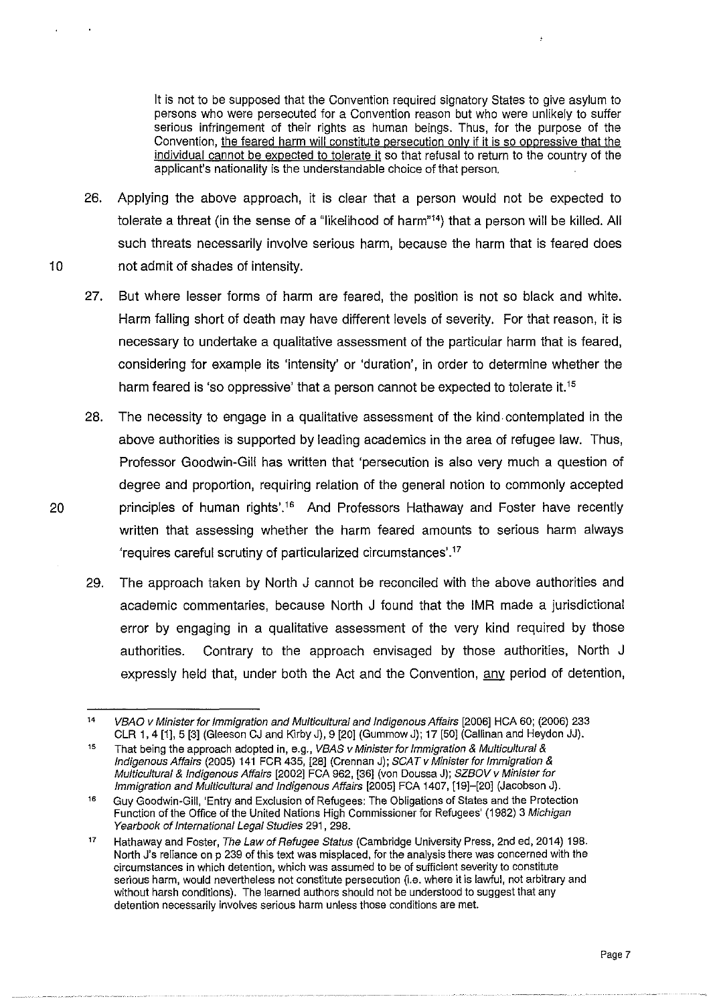It is not to be supposed that the Convention required signatory States to give asylum to persons who were persecuted for a Convention reason but who were unlikely to suffer serious infringement of their rights as human beings. Thus, for the purpose of the Convention, the feared harm will constitute persecution only if it is so oppressive that the individual cannot be expected to tolerate it so that refusal to return to the country of the applicant's nationality is the understandable choice of that person.

- 26. Applying the above approach, it is clear that a person would not be expected to tolerate a threat (in the sense of a "likelihood of harm"14} that a person will be killed. All such threats necessarily involve serious harm, because the harm that is feared does 10 not admit of shades of intensity.
	- 27. But where lesser forms of harm are feared, the position is not so black and white. Harm falling short of death may have different levels of severity. For that reason, it is necessary to undertake a qualitative assessment of the particular harm that is feared, considering for example its 'intensity' or 'duration', in order to determine whether the harm feared is 'so oppressive' that a person cannot be expected to tolerate it.<sup>15</sup>
- 28. The necessity to engage in a qualitative assessment of the kind. contemplated in the above authorities is supported by leading academics in the area of refugee law. Thus, Professor Goodwin-Gill has written that 'persecution is also very much a question of degree and proportion, requiring relation of the general notion to commonly accepted 20 principles of human rights'.<sup>16</sup> And Professors Hathaway and Foster have recently written that assessing whether the harm feared amounts to serious harm always 'requires careful scrutiny of particularized circumstances'.<sup>17</sup>
	- 29. The approach taken by North J cannot be reconciled with the above authorities and academic commentaries, because North J found that the IMR made a jurisdictional error by engaging in a qualitative assessment of the very kind required by those authorities. Contrary to the approach envisaged by those authorities, North J expressly held that, under both the Act and the Convention, any period of detention,

<sup>14</sup>  VBAO v Minister for Immigration and Multicultural and Indigenous Affairs [2006] HCA 60; (2006) 233 CLR 1, 4 [1], 5 [3] (Gleeson CJ and KirbyJ), 9 [20] (GummowJ); 17 [50] (Callinan and Heydon JJ).

<sup>15</sup>  That being the approach adopted in, e.g., VBAS v Minister for Immigration & Multicultural & Indigenous Affairs (2005) 141 FCR 435, [28] (Grennan J); SCAT v Minister for Immigration & Multicultural & Indigenous Affairs [2002] FCA 962, [36] (von Doussa J); SZBOV v Minister for Immigration and Multicultural and Indigenous Affairs [2005] FCA 1407, [19]-[20] (Jacobson J).

<sup>16</sup>  Guy Goodwin-Gill, 'Entry and Exclusion of Refugees: The Obligations of States and the Protection Function of the Office of the United Nations High Commissioner for Refugees' (1982) 3 Michigan Yearbook of International Legal Studies 291, 298.

<sup>17</sup>  Hathaway and Foster, The Law of Refugee Status (Cambridge University Press, 2nd ed, 2014) 198. North J's reliance on p 239 of this text was misplaced, for the analysis there was concerned with the circumstances in which detention, which was assumed to be of sufficient severity to constitute serious harm, would nevertheless not constitute persecution (i.e. where it is lawful, not arbitrary and without harsh conditions). The learned authors should not be understood to suggest that any detention necessarily involves serious harm unless those conditions are met.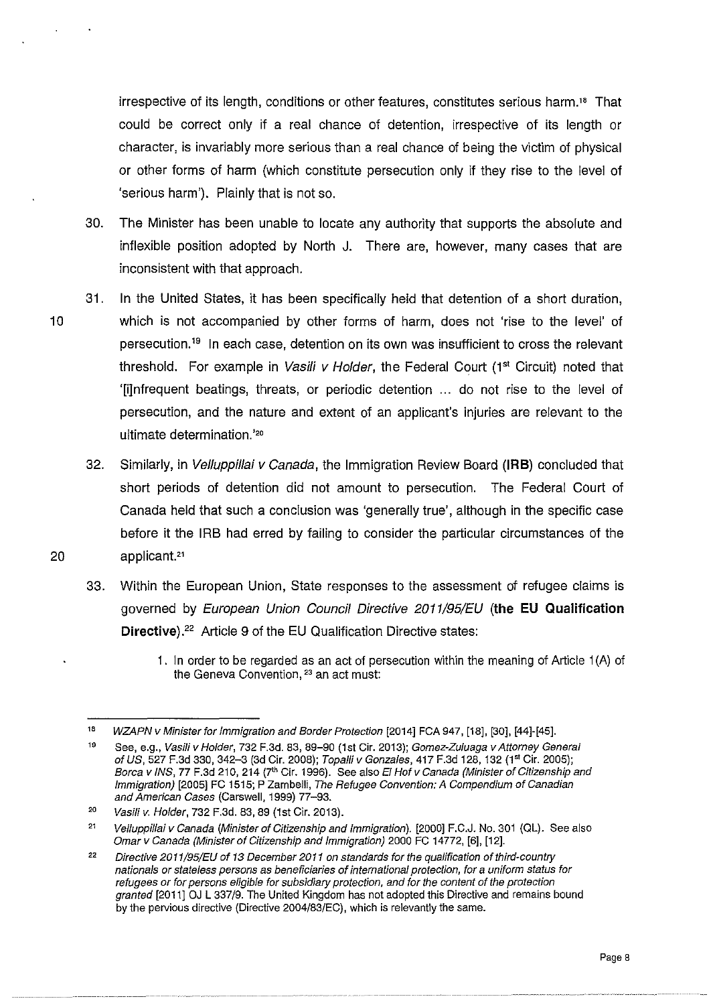irrespective of its length, conditions or other features, constitutes serious harm." That could be correct only if a real chance of detention, irrespective of its length or character, is invariably more serious than a real chance of being the victim of physical or other forms of harm (which constitute persecution only if they rise to the level of 'serious harm'). Plainly that is not so.

- 30. The Minister has been unable to locate any authority that supports the absolute and inflexible position adopted by North J. There are, however, many cases that are inconsistent with that approach.
- 31. In the United States, it has been specifically held that detention of a short duration, 10 which is not accompanied by other forms of harm, does not 'rise to the level' of persecution.<sup>19</sup> In each case, detention on its own was insufficient to cross the relevant threshold. For example in Vasili v Holder, the Federal Court (1<sup>st</sup> Circuit) noted that '[i]nfrequent beatings, threats, or periodic detention ... do not rise to the level of persecution, and the nature and extent of an applicant's injuries are relevant to the ultimate determination.'<sup>20</sup>
- 32. Similarly, in Vel/uppillai v Canada, the Immigration Review Board **(IRB)** concluded that short periods of detention did not amount to persecution. The Federal Court of Canada held that such a conclusion was 'generally true', although in the specific case before it the IRB had erred by failing to consider the particular circumstances of the 20 applicant.<sup>21</sup>
	- 33. Within the European Union, State responses to the assessment of refugee claims is governed by European Union Council Directive 2011/95/EU **{the EU Qualification Directive**).<sup>22</sup> Article 9 of the EU Qualification Directive states:
		- 1. In order to be regarded as an act of persecution within the meaning of Article 1 (A) of the Geneva Convention, <sup>23</sup> an act must:

<sup>18</sup> WZAPN v Minister for Immigration and Border Protection [2014] FCA 947, [18], [30], [44]·[45].

<sup>19</sup>  See, e.g., Vasili v Holder, 732 F.3d. 83, 89-90 (1st Cir. 2013); Gomez-Zuluaga v Attorney General of US, 527 F.3d 330, 342-3 (3d Cir. 2008); Topalli v Gonzales, 417 F.3d 128, 132 (1st Cir. 2005); Borca v INS, 77 F.3d 210, 214 (7<sup>th</sup> Cir. 1996). See also El Hof v Canada (Minister of Citizenship and Immigration) [2005] FC 1515; P Zambelli, The Refugee Convention: A Compendium of Canadian and American Cases (Carswell, 1999) 77-93.

<sup>20</sup>  Vasili v. Holder, 732 F.3d. 83, 89 (1st Cir. 2013).

<sup>21</sup>  Velluppillai v Canada (Minister of Citizenship and Immigration). [2000] F.C.J. No. 301 (QL). See also Omar v Canada (Minister of Citizenship and Immigration) 2000 FC 14772, [6], [12].

<sup>22</sup>  Directive 2011/95/EU of 13 December 2011 on standards for the qualification of third-country nationals or stateless persons as beneficiaries of international protection, for a uniform status for refugees or for persons eligible for subsidiary protection, and for the content of the protection granted [2011] OJ L 337/9. The United Kingdom has not adopted this Directive and remains bound by the pervious directive (Directive 2004/83/EC), which is relevantly the same.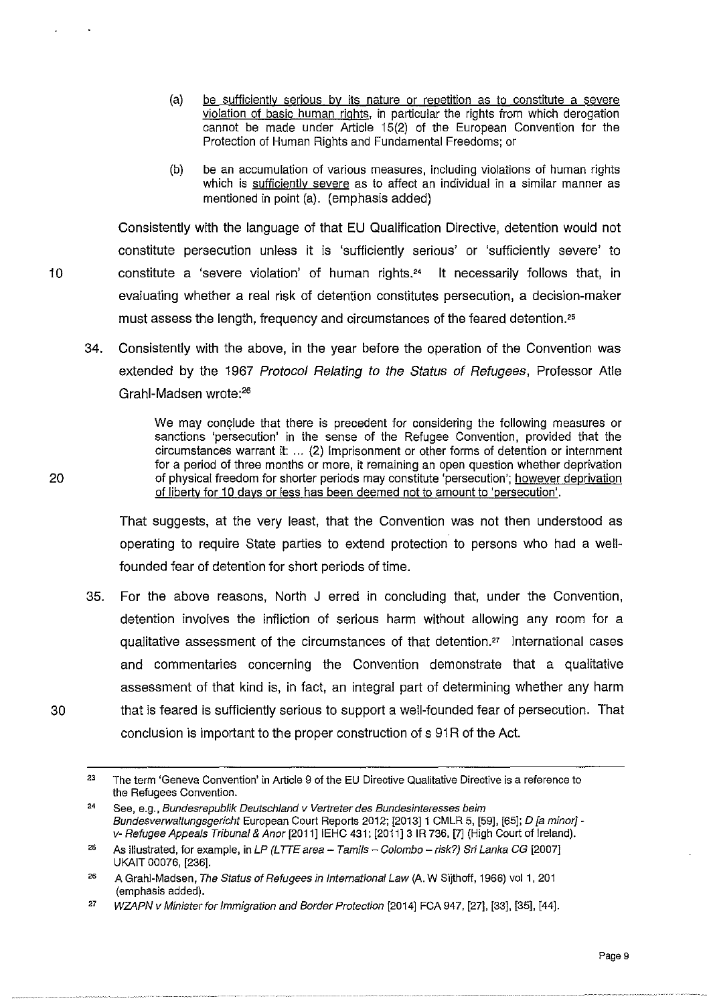- (a} be sufficiently serious by its nature or repetition as to constitute a severe violation of basic human rights, in particular the rights from which derogation cannot be made under Article 15(2} of the European Convention for the Protection of Human Rights and Fundamental Freedoms; or
- (b) be an accumulation of various measures, including violations of human rights which is sufficiently severe as to affect an individual in a similar manner as mentioned in point (a}. (emphasis added)

Consistently with the language of that EU Qualification Directive, detention would not constitute persecution unless it is 'sufficiently serious' or 'sufficiently severe' to 10 constitute a 'severe violation' of human rights.24 It necessarily follows that, in evaluating whether a real risk of detention constitutes persecution, a decision-maker must assess the length, frequency and circumstances of the feared detention."

34. Consistently with the above, in the year before the operation of the Convention was extended by the 1967 Protocol Relating to the Status of Refugees, Professor Atle Grahl-Madsen wrote:<sup>26</sup>

> We may conclude that there is precedent for considering the following measures or sanctions 'persecution' in the sense of the Refugee Convention. provided that the circumstances warrant it: ... (2} Imprisonment or other forms of detention or internment for a period of three months or more, it remaining an open question whether deprivation of physical freedom for shorter periods may constitute 'persecution'; however deprivation of liberty for 10 days or less has been deemed not to amount to 'persecution'.

That suggests, at the very least, that the Convention was not then understood as operating to require State parties to extend protection to persons who had a wellfounded fear of detention for short periods of time.

35. For the above reasons, North J erred in concluding that, under the Convention, detention involves the infliction of serious harm without allowing any room for a qualitative assessment of the circumstances of that detention." International cases and commentaries concerning the Convention demonstrate that a qualitative assessment of that kind is, in fact, an integral part of determining whether any harm 30 that is feared is sufficiently serious to support a well-founded fear of persecution. That conclusion is important to the proper construction of s 91R of the Act.

<sup>23</sup>  The term 'Geneva Convention' in Article 9 of the EU Directive Qualitative Directive is a reference to the Refugees Convention.

<sup>24</sup>  See, e.g., Bundesrepublik Deutschland v Vertreter des Bundesinteresses beim Bundesverwaltungsgericht European Court Reports 2012; [2013] 1 CMLR 5, [59], [65]; D [a minor] v- Refugee Appeals Tribunal & Anor [2011] IEHC 431; [2011] 3 IR 736, [7] (High Court of Ireland).

<sup>25</sup>  As illustrated, for example, in LP (LTTE area - Tamils - Colombo - risk?) Sri Lanka CG [2007] UKAIT 00076, [236].

<sup>26</sup>  A Grahi-Madsen, The Status of Refugees in International Law (A. W Sijthoff, 1966) val 1, 201 (emphasis added).

<sup>27</sup>  WZAPN v Minister for Immigration and Border Protection [2014] FCA 947, [27]. [33], [35], [44].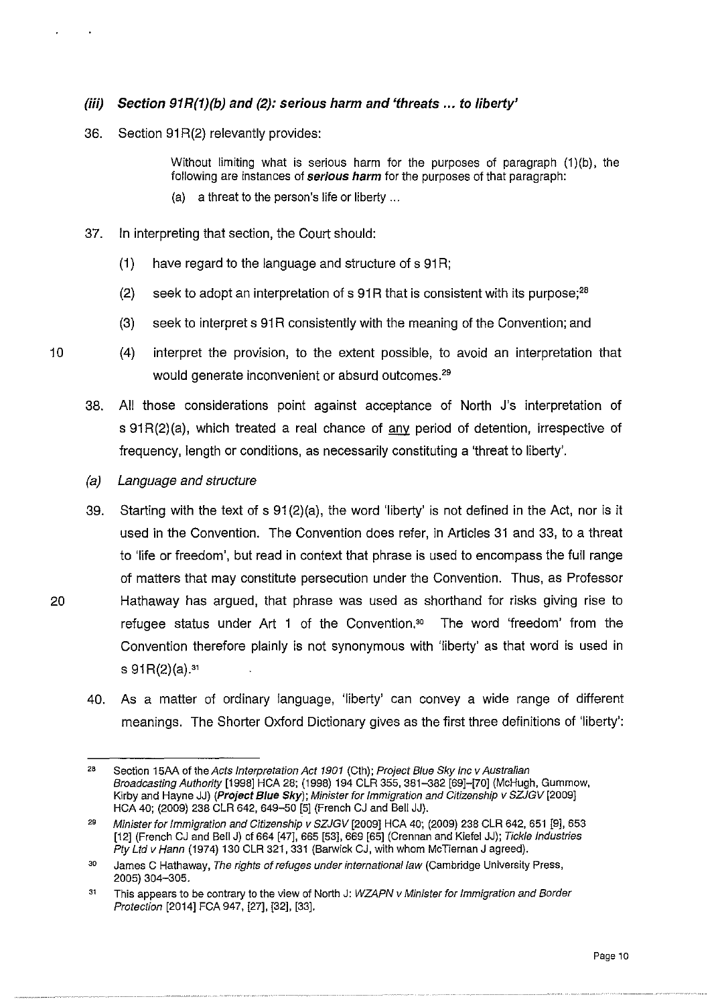## *(iii)* **Section 91R(1)(b} and** {2): **serious harm and 'threats ... to liberty'**

36. Section 91R(2) relevantly provides:

Without limiting what is serious harm for the purposes of paragraph  $(1)(b)$ , the following are instances of serious harm for the purposes of that paragraph:

- (a) a threat to the person's life or liberty ...
- 37. In interpreting that section, the Court should:
	- $(1)$  have regard to the language and structure of s 91R;
	- (2) seek to adopt an interpretation of s  $91R$  that is consistent with its purpose;<sup>28</sup>
	- (3) seek to interpret s 91R consistently with the meaning of the Convention; and
- 10 (4) interpret the provision, to the extent possible, to avoid an interpretation that would generate inconvenient or absurd outcomes.<sup>29</sup>
	- 38. All those considerations point against acceptance of North J's interpretation of s  $91R(2)(a)$ , which treated a real chance of  $\frac{any}{any}$  period of detention, irrespective of frequency, length or conditions, as necessarily constituting a 'threat to liberty'.
	- (a) Language and structure
- 39. Starting with the text of s 91 (2}(a), the word 'liberty' is not defined in the Act, nor is it used in the Convention. The Convention does refer, in Articles 31 and 33, to a threat to 'life or freedom', but read in context that phrase is used to encompass the full range of matters that may constitute persecution under the Convention. Thus, as Professor 20 Hathaway has argued, that phrase was used as shorthand for risks giving rise to refugee status under Art 1 of the Convention.<sup>30</sup> The word 'freedom' from the Convention therefore plainly is not synonymous with 'liberty' as that word is used in s  $91R(2)(a).$ <sup>31</sup>
	- 40. As a matter of ordinary language, 'liberty' can convey a wide range of different meanings. The Shorter Oxford Dictionary gives as the first three definitions of 'liberty':

<sup>28</sup>  Section 15AA of the Acts Interpretation Act 1901 (Cth); Project Blue Sky Inc v Australian Broadcasting Authority [1998] HCA 28; (1998) 194 CLR 355, 381-382 [69]-[70] (McHugh, Gummow, Kirby and Hayne JJ) (P**roject Blue Sky**); Minister for Immigration and Citizenship v SZJGV [2009] HCA 40; (2009) 238 CLR 642, 649-50 [5] (French CJ and Bell JJ).

<sup>29</sup>  Minister for Immigration and Citizenship v SZJGV [2009] HCA 40; (2009) 238 CLR 642, 651 [9], 653 [12] (French CJ and Bell J) cf 664 [47], 665 [53], 669 [65] (Grennan and Kiefel JJ); Tickle Industries Pty Ltd v Hann (1974) 130 CLR 321, 331 (Barwick CJ, with whom McTiernan J agreed).

<sup>30</sup>  James C Hathaway, The rights of refuges under international law (Cambridge University Press, 2005) 304-305.

<sup>31</sup>  This appears to be contrary to the view of North J: WZAPN v Minister for Immigration and Border Protection [2014] FCA 947, [27], [32], [33].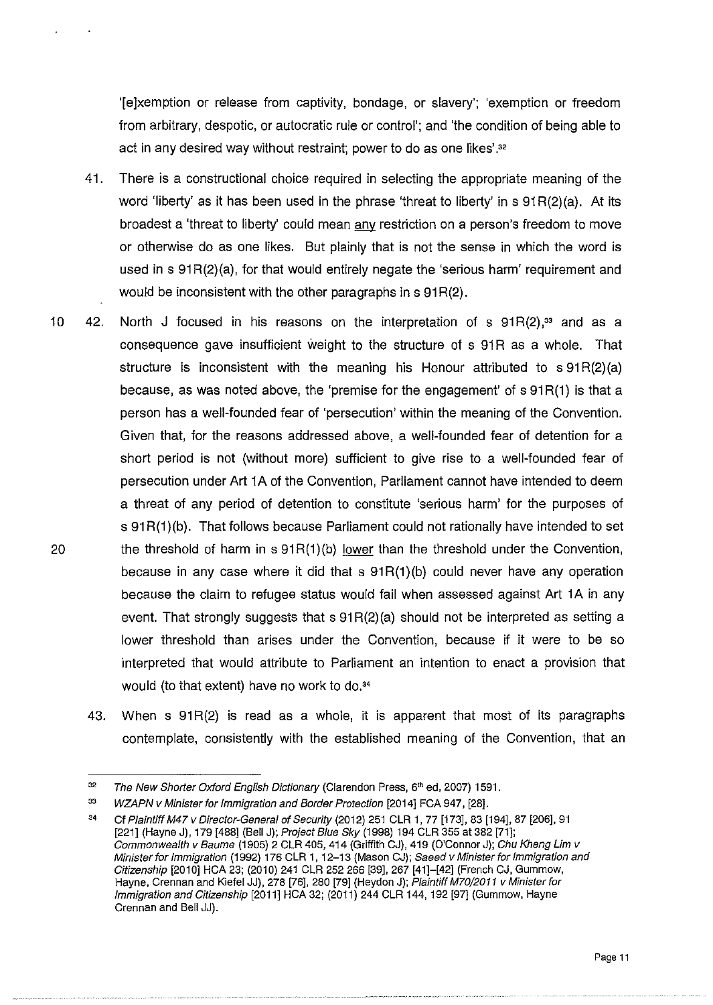'[e]xemption or release from captivity, bondage, or slavery'; 'exemption or freedom from arbitrary, despotic, or autocratic rule or control'; and 'the condition of being able to act in any desired way without restraint; power to do as one likes'.ªª

- 41. There is a constructional choice required in selecting the appropriate meaning of the word 'liberty' as it has been used in the phrase 'threat to liberty' in s  $91R(2)(a)$ . At its broadest a 'threat to liberty' could mean any restriction on a person's freedom to move or otherwise do as one likes. But plainly that is not the sense in which the word is used in s 91R(2)(a), for that would entirely negate the 'serious harm' requirement and would be inconsistent with the other paragraphs in s 91R(2).
- 10 42. North J focused in his reasons on the interpretation of s  $91R(2)$ ,<sup>33</sup> and as a consequence gave insufficient weight to the structure of s 91R as a whole. That structure is inconsistent with the meaning his Honour attributed to  $\sigma$  91R(2)(a) because, as was noted above, the 'premise for the engagement' of s 91R(1) is that a person has a well-founded fear of 'persecution' within the meaning of the Convention. Given that, for the reasons addressed above, a well-founded fear of detention for a short period is not (without more) sufficient to give rise to a well-founded fear of persecution under Art 1A of the Convention, Parliament cannot have intended to deem a threat of any period of detention to constitute 'serious harm' for the purposes of s 91R(1)(b). That follows because Parliament could not rationally have intended to set 20 the threshold of harm in s  $91R(1)(b)$  lower than the threshold under the Convention, because in any case where it did that s  $91R(1)$ (b) could never have any operation because the claim to refugee status would fail when assessed against Art 1 A in any event. That strongly suggests that  $s$  91 $R(2)(a)$  should not be interpreted as setting a lower threshold than arises under the Convention, because if it were to be so interpreted that would attribute to Parliament an intention to enact a provision that would (to that extent) have no work to do.<sup>34</sup>
	- 43. When s 91 R(2) is read as a whole, it is apparent that most of its paragraphs contemplate, consistently with the established meaning of the Convention, that an

<sup>32</sup>  The New Shorter Oxford English Dictionary (Clarendon Press, 6<sup>th</sup> ed, 2007) 1591.

<sup>33</sup>  WZAPN v Minister for Immigration and Border Protection [2014] FCA 947, [28].

<sup>34</sup>  Cf Plaintiff M47 v Director-Genera/ of Security (2012) 251 CLR 1, 77 [173], 83 [194], 87 [206], 91 [221] (Hayne J), 179 [488] (Bell J); Project Blue Sky (1998) 194 CLR 355 at 382 [71]; Commonwealth v Baume (1905) 2 CLR 405, 414 (Griffith CJ), 419 (O'Connor J); Chu Kheng Lim v Minister for Immigration (1992) 176 CLR 1, 12-13 (Mason CJ); Saeed v Minister for Immigration and Citizenship [2010] HCA 23; (2010) 241 CLR 252 266 [39], 267 [41]-[42] (French CJ, Gummow, Hayne, Crennan and Kiefel JJ), 278 [76], 280 [79] (Heydon J); *Plaintiff M70/2011 v Minister for* Immigration and Citizenship [2011] HCA 32; (2011) 244 CLR 144, 192 [97] (Gummow, Hayne Grennan and Bell JJ).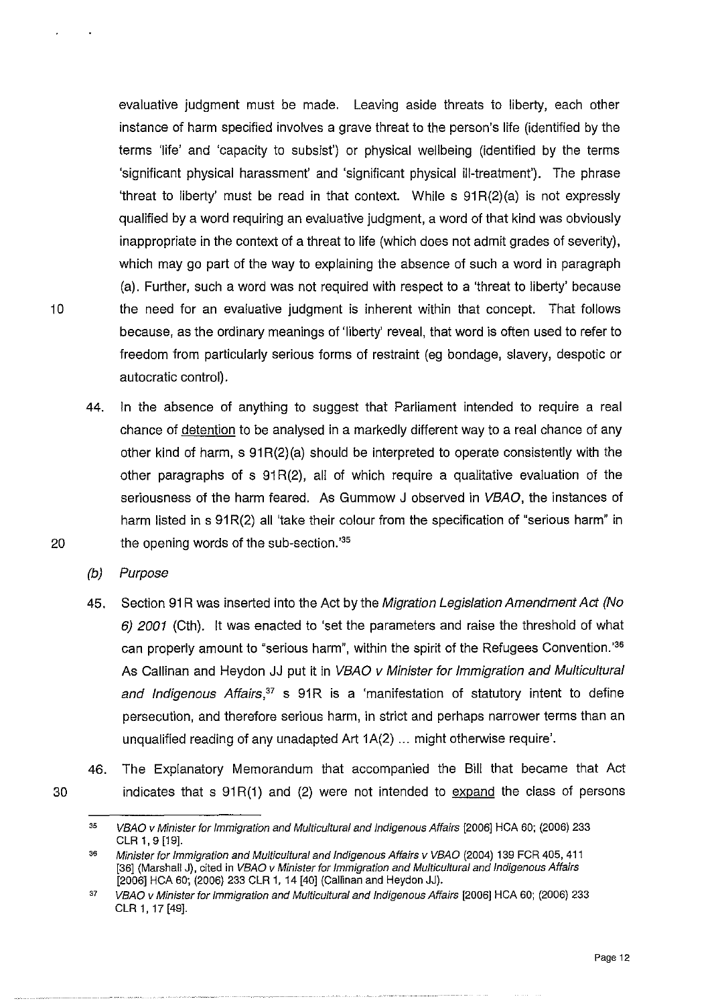evaluative judgment must be made. Leaving aside threats to liberty, each other instance of harm specified involves a grave threat to the person's life (identified by the terms 'life' and 'capacity to subsist') or physical wellbeing (identified by the terms 'significant physical harassment' and 'significant physical ill-treatment'). The phrase 'threat to liberty' must be read in that context. While s 91R(2)(a) is not expressly qualified by a word requiring an evaluative judgment, a word of that kind was obviously inappropriate in the context of a threat to life (which does not admit grades of severity), which may go part of the way to explaining the absence of such a word in paragraph (a). Further, such a word was not required with respect to a 'threat to liberty' because 10 the need for an evaluative judgment is inherent within that concept. That follows because, as the ordinary meanings of 'liberty' reveal, that word is often used to refer to freedom from particularly serious forms of restraint (eg bondage, slavery, despotic or autocratic control).

44. In the absence of anything to suggest that Parliament intended to require a real chance of detention to be analysed in a markedly different way to a real chance of any other kind of harm,  $s \theta^{(2)}(a)$  should be interpreted to operate consistently with the other paragraphs of  $s$  91 $R(2)$ , all of which require a qualitative evaluation of the seriousness of the harm feared. As Gummow J observed in VBAO, the instances of harm listed in s 91R(2) all 'take their colour from the specification of "serious harm" in 20 the opening words of the sub-section.<sup>35</sup>

{b) Purpose

- 45. Section 91R was inserted into the Act by the Migration Legislation Amendment Act (No 6) 2001 (Cth). It was enacted to 'set the parameters and raise the threshold of what can properly amount to "serious harm", within the spirit of the Refugees Convention.'<sup>36</sup> As Callinan and Heydon JJ put it in VBAO v Minister for Immigration and Multicultural and Indigenous Affairs,<sup>37</sup> s 91R is a 'manifestation of statutory intent to define persecution, and therefore serious harm, in strict and perhaps narrower terms than an unqualified reading of any unadapted Art 1A(2) ... might otherwise require'.
- 46. The Explanatory Memorandum that accompanied the Bill that became that Act indicates that s  $91R(1)$  and (2) were not intended to  $\frac{1}{2}$  expand the class of persons

<sup>35</sup>  VBAO v Minister for Immigration and Multicultural and Indigenous Affairs (2006] HCA 60; (2006) 233 CLR 1, 9 [19].

<sup>36</sup>  Minister for Immigration and Multicultural and Indigenous Affairs v VBAO (2004) 139 FCR 405, 411 [36] (Marshall J), cited in VBAO v Minister for Immigration and Multicultural and Indigenous Affairs (2006] HCA 60; (2006) 233 CLR 1, 14 (40] (Callinan and Heydon JJ).

<sup>37</sup>  VBAO v Minister for Immigration and Multicultural and Indigenous Affairs (2006] HCA 60; (2006) 233 CLR 1, 17 (49].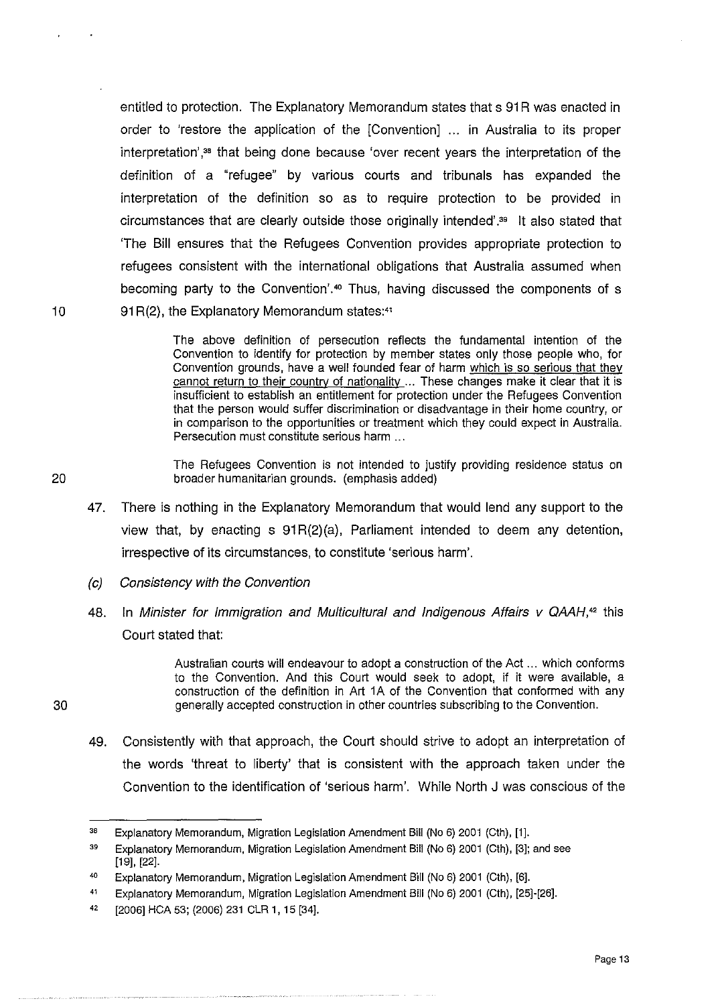entitled to protection. The Explanatory Memorandum states that s 91R was enacted in order to 'restore the application of the [Convention] ... in Australia to its proper interpretation',<sup>38</sup> that being done because 'over recent years the interpretation of the definition of a "refugee" by various courts and tribunals has expanded the interpretation of the definition so as to require protection to be provided in circumstances that are clearly outside those originally intended' . <sup>39</sup>It also stated that 'The Bill ensures that the Refugees Convention provides appropriate protection to refugees consistent with the international obligations that Australia assumed when becoming party to the Convention'.<sup>40</sup> Thus, having discussed the components of s 10 91 R(2), the Explanatory Memorandum states:<sup>41</sup>

> The above definition of persecution reflects the fundamental intention of the Convention to identify for protection by member states only those people who, for Convention grounds, have a well founded fear of harm which is so serious that they cannot return to their country of nationality ... These changes make it clear that it is insufficient to establish an entitlement for protection under the Refugees Convention that the person would suffer discrimination or disadvantage in their home country, or in comparison to the opportunities or treatment which they could expect in Australia. Persecution must constitute serious harm ...

The Refugees Convention is not intended to justify providing residence status on 20 broader humanitarian grounds. (emphasis added)

- 47. There is nothing in the Explanatory Memorandum that would lend any support to the view that, by enacting  $s \theta^{(2)}(a)$ . Parliament intended to deem any detention, irrespective of its circumstances, to constitute 'serious harm'.
- (c) Consistency with the Convention
- 48. In Minister for Immigration and Multicultural and Indigenous Affairs  $\vee$  QAAH,<sup>42</sup> this Court stated that:

Australian courts will endeavour to adopt a construction of the Act ... which conforms to the Convention. And this Court would seek to adopt, if it were available, a construction of the definition in Art 1A of the Convention that conformed with any 30 generally accepted construction in other countries subscribing to the Convention.

- 
- 49. Consistently with that approach, the Court should strive to adopt an interpretation of the words 'threat to liberty' that is consistent with the approach taken under the Convention to the identification of 'serious harm'. While North J was conscious of the

<sup>38</sup>  Explanatory Memorandum, Migration Legislation Amendment Bill (No 6) 2001 (Cth), [1].

<sup>39</sup>  Explanatory Memorandum, Migration Legislation Amendment Bill (No 6) 2001 (Cth), [3]; and see [19], [22].

<sup>40</sup>  Explanatory Memorandum, Migration Legislation Amendment Bill (No 6) 2001 (Cth), [6].

<sup>41</sup>  Explanatory Memorandum, Migration Legislation Amendment Bill (No 6) 2001 (Cth), [25]·[26].

<sup>42</sup>  [2006] HCA 53; (2006) 231 CLR 1, 15 [34].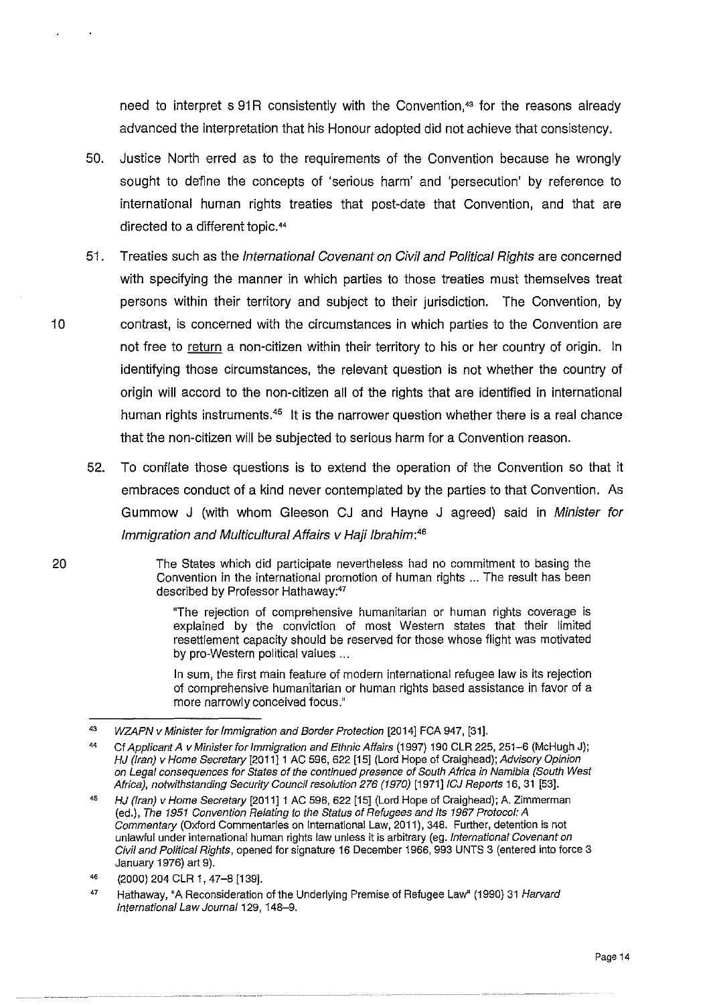need to interpret s 91R consistently with the Convention,<sup>43</sup> for the reasons already advanced the interpretation that his Honour adopted did not achieve that consistency.

- 50. Justice North erred as to the requirements of the Convention because he wrongly sought to define the concepts of 'serious harm' and 'persecution' by reference to international human rights treaties that post-date that Convention, and that are directed to a different topic.••
- 51. Treaties such as the International Covenant on Civil and Political Rights are concerned with specifying the manner in which parties to those treaties must themselves treat persons within their territory and subject to their jurisdiction. The Convention, by 10 contrast, is concerned with the circumstances in which parties to the Convention are not free to return a non-citizen within their territory to his or her country of origin. In identifying those circumstances, the relevant question is not whether the country of origin will accord to the non-citizen all of the rights that are identified in international human rights instruments.<sup>45</sup> It is the narrower question whether there is a real chance that the non-citizen will be subjected to serious harm for a Convention reason.
	- 52. To conflate those questions is to extend the operation of the Convention so that it embraces conduct of a kind never contemplated by the parties to that Convention. As Gummow J (with whom Gleeson CJ and Hayne J agreed) said in Minister for Immigration and Multicultural Affairs v Haji lbrahim: *<sup>46</sup>*

The States which did participate nevertheless had no commitment to basing the Convention in the international promotion of human rights ... The result has been described by Professor Hathaway:<sup>47</sup>

"The rejection of comprehensive humanitarian or human rights coverage is explained by the conviction of most Western states that their limited resettlement capacity should be reserved for those whose flight was motivated by pro-Western political values ...

In sum, the first main feature of modern international refugee law is its rejection of comprehensive humanitarian or human rights based assistance in favor of a more narrowly conceived focus."

<sup>43</sup>  WZAPN v Minister for Immigration and Border Protection [2014] FCA 947, [31].

<sup>44</sup>  Cf Applicant A v Minister for Immigration and Ethnic Affairs (1997) 190 CLR 225, 251-6 (McHugh J); HJ (Iran) v Home Secretary [2011]1 AC 596, 622 [15] (Lord Hope of Craighead); Advisory Opinion on Legal consequences for States of the continued presence of South Africa in Namibia (South West Africa), notwithstanding Security Council resolution 276 (1970) [1971] ICJ Reports 16, 31 [53].

<sup>45</sup>  HJ (Iran) v Home Secretary [2011] 1 AC 596, 622 [15] (Lord Hope of Craighead); A. Zimmerman (ed.), The 1951 Convention Relating to the Status of Refugees and Its 1967 Protocol: A Commentary (Oxford Commentaries on International Law, 2011), 348. Further, detention is not unlawful under international human rights law unless it is arbitrary (eg. International Covenant on Civil and Political Rights, opened for signature 16 December 1966, 993 UNTS 3 (entered into force 3 January 1976) art 9).

<sup>46</sup>  (2000) 204 CLR 1, 47-8 [139].

<sup>47</sup>  Hathaway, "A Reconsideration of the Underlying Premise of Refugee Law" (1990) 31 Harvard International Law Journal 129, 148-9.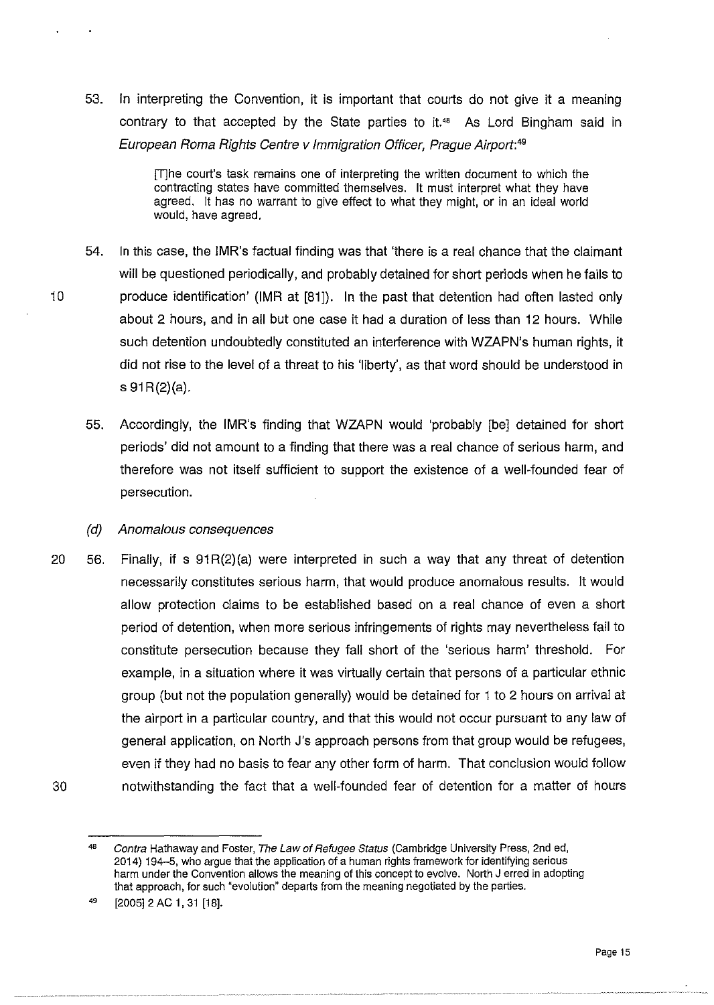53. In interpreting the Convention, it is important that courts do not give it a meaning contrary to that accepted by the State parties to it." As Lord Bingham said in European Roma Rights Centre v Immigration Officer, Prague Airport:49

> [T]he court's task remains one of interpreting the written document to which the contracting states have committed themselves. It must interpret what they have agreed. It has no warrant to give effect to what they might, or in an ideal world would, have agreed.

- 54. In this case, the IMR's factual finding was that 'there is a real chance that the claimant will be questioned periodically, and probably detained for short periods when he fails to 10 produce identification' (IMR at [81]). In the past that detention had often lasted only about 2 hours, and in all but one case it had a duration of less than 12 hours. While such detention undoubtedly constituted an interference with WZAPN's human rights, it did not rise to the level of a threat to his 'liberty', as that word should be understood in  $s \theta$  91 R(2)(a).
	- 55. Accordingly, the IMR's finding that WZAPN would 'probably [be] detained for short periods' did not amount to a finding that there was a real chance of serious harm, and therefore was not itself sufficient to support the existence of *a* well-founded fear of persecution.

#### (d) Anomalous consequences

20 56. Finally, if s  $91R(2)(a)$  were interpreted in such a way that any threat of detention 30 necessarily constitutes serious harm, that would produce anomalous results. It would allow protection claims to be established based on a real chance of even a short period of detention, when more serious infringements of rights may nevertheless fail to constitute persecution because they fall short of the 'serious harm' threshold. For example, in a situation where it was virtually certain that persons of a particular ethnic group (but not the population generally) would be detained for 1 to 2 hours on arrival at the airport in a particular country, and that this would not occur pursuant to any law of general application, on North J's approach persons from that group would be refugees, even if they had no basis to fear any other form of harm. That conclusion would follow notwithstanding the fact that a well-founded fear of detention for a matter of hours

<sup>48</sup>  Contra Hathaway and Foster, The Law of Refugee Status (Cambridge University Press, 2nd ed, 2014) 194-5, who argue that the application of a human rights framework for identifying serious harm under the Convention allows the meaning of this concept to evolve. North J erred in adopting that approach, for such "evolution" departs from the meaning negotiated by the parties.

<sup>49</sup>  [2005] 2 AC 1, 31 [18].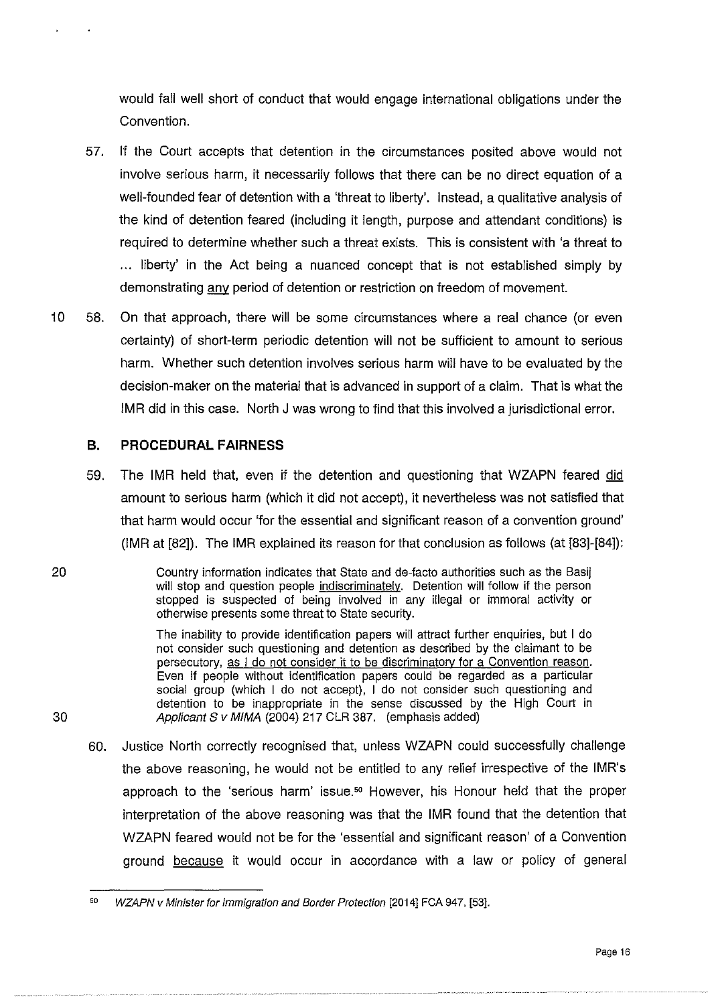would fall well short of conduct that would engage international obligations under the Convention.

- 57. If the Court accepts that detention in the circumstances posited above would not involve serious harm, it necessarily follows that there can be no direct equation of a well-founded fear of detention with a 'threat to liberty'. Instead, a qualitative analysis of the kind of detention feared (including it length, purpose and attendant conditions) is required to determine whether such a threat exists. This is consistent with 'a threat to .. . liberty' in the Act being a nuanced concept that is not established simply by demonstrating any period of detention or restriction on freedom of movement.
- 10 58. On that approach, there will be some circumstances where a real chance (or even certainty) of short-term periodic detention will not be sufficient to amount to serious harm. Whether such detention involves serious harm will have to be evaluated by the decision-maker on the material that is advanced in support of a claim. That is what the IMR did in this case. North J was wrong to find that this involved a jurisdictional error.

## **B. PROCEDURAL FAIRNESS**

59. The IMR held that, even if the detention and questioning that WZAPN feared did amount to serious harm (which it did not accept), it nevertheless was not satisfied that that harm would occur 'for the essential and significant reason of a convention ground' (IMR at [82]). The IMR explained its reason for that conclusion as follows (at [83]-[84]):

20 Country information indicates that State and de-facto authorities such as the Basij will stop and question people indiscriminately. Detention will follow if the person stopped is suspected of being involved in any illegal or immoral activity or otherwise presents some threat to State security.

The inability to provide identification papers will attract further enquiries, but I do not consider such questioning and detention as described by the claimant to be persecutory, as I do not consider it to be discriminatory for a Convention reason. Even if people without identification papers could be regarded as a particular social group (which I do not accept), I do not consider such questioning and detention to be inappropriate in the sense discussed by the High Court in 30 Applicant S v MIMA (2004) 217 CLR 387. (emphasis added)

60. Justice North correctly recognised that, unless WZAPN could successfully challenge the above reasoning, he would not be entitled to any relief irrespective of the IMR's approach to the 'serious harm' issue.<sup>50</sup> However, his Honour held that the proper interpretation of the above reasoning was that the IMR found that the detention that WZAPN feared would not be for the 'essential and significant reason' of a Convention ground because it would occur in accordance with a law or policy of general

<sup>50</sup> WZAPN v Minister for Immigration and Border Protection [2014] FCA 947, [53].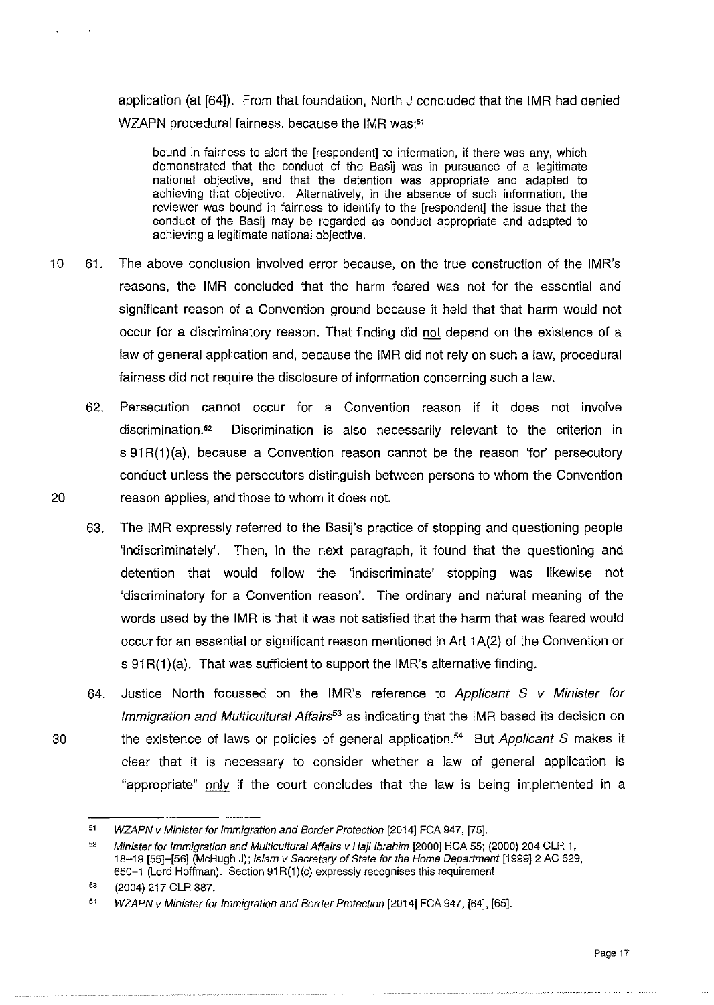application (at [64]). From that foundation, North J concluded that the IMR had denied WZAPN procedural fairness, because the IMR was:<sup>51</sup>

bound in fairness to alert the [respondent] to information, if there was any, which demonstrated that the conduct of the Basij was in pursuance of a legitimate national objective, and that the detention was appropriate and adapted to. achieving that objective. Alternatively, in the absence of such information, the reviewer was bound in fairness to identify to the [respondent] the issue that the conduct of the Basij may be regarded as conduct appropriate and adapted to achieving a legitimate national objective.

- 10 61. The above conclusion involved error because, on the true construction of the IMR's reasons, the IMR concluded that the harm feared was not for the essential and significant reason of a Convention ground because it held that that harm would not occur for a discriminatory reason. That finding did not depend on the existence of a law of general application and, because the IMR did not rely on such a law, procedural fairness did not require the disclosure of information concerning such a law.
- 62. Persecution cannot occur for a Convention reason if it does not involve discrimination." Discrimination is also necessarily relevant to the criterion in s 91R(1)(a), because a Convention reason cannot be the reason 'for' persecutory conduct unless the persecutors distinguish between persons to whom the Convention 20 reason applies, and those to whom it does not.
	- 63. The IMR expressly referred to the Basij's practice of stopping and questioning people 'indiscriminately'. Then, in the next paragraph, it found that the questioning and detention that would follow the 'indiscriminate' stopping was likewise not 'discriminatory for a Convention reason'. The ordinary and natural meaning of the words used by the IMR is that it was not satisfied that the harm that was feared would occur for an essential or significant reason mentioned in Art 1 A(2) of the Convention or s 91 R(1) (a). That was sufficient to support the IMR's alternative finding.
	- 64. Justice North focussed on the IMR's reference to Applicant  $S$  v Minister for Immigration and Multicultural Affairs<sup>53</sup> as indicating that the IMR based its decision on the existence of laws or policies of general application.<sup>54</sup> But Applicant S makes it clear that it is necessary to consider whether a law of general application is "appropriate" only if the court concludes that the law is being implemented in a

<sup>51</sup>  WZAPN v Minister for Immigration and Border Protection [2014] FCA 947, [75].

<sup>52</sup>  Minister for Immigration and Multicultural Affairs v Haji Ibrahim [2000] HCA 55; (2000) 204 CLR 1, 18-19 [55]-[56] (McHugh J); Islam v Secretary of State for the Home Department [1999]2 AC 629, 650-1 (Lord Hoffman). Section 91 R(1)(c) expressly recognises this requirement.

<sup>53</sup>  (2004) 217 CLR 387.

<sup>54</sup> WZAPN v Minister for Immigration and Border Protection [2014] FCA 947, [64], [65].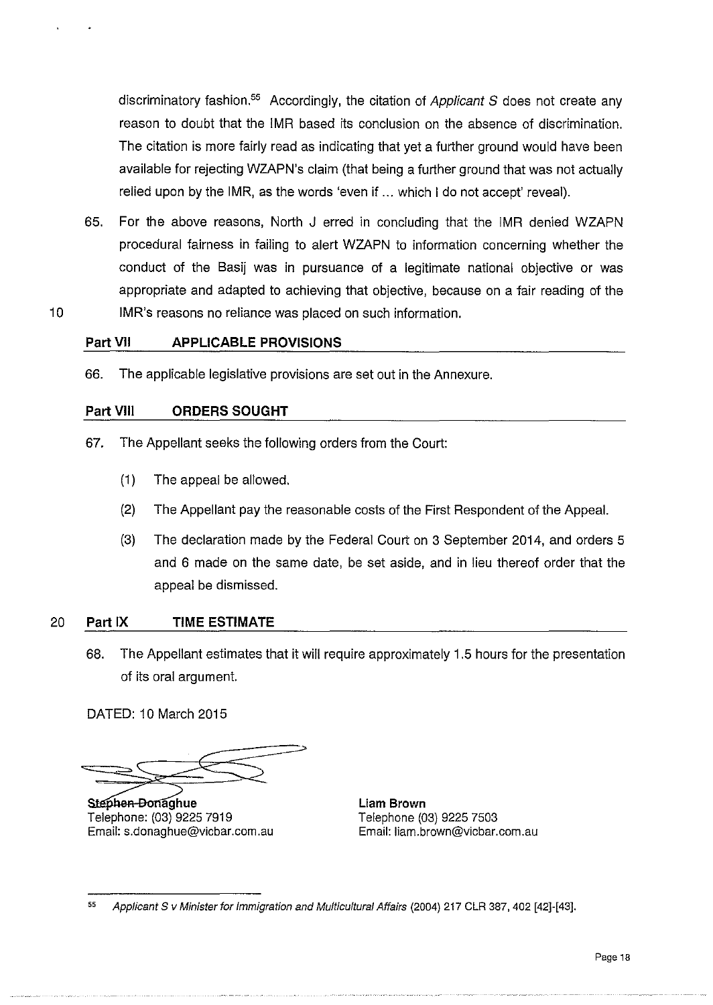discriminatory fashion.<sup>55</sup> Accordingly, the citation of Applicant S does not create any reason to doubt that the IMR based its conclusion on the absence of discrimination. The citation is more fairly read as indicating that yet a further ground would have been available for rejecting WZAPN's claim (that being a further ground that was not actually relied upon by the IMR, as the words 'even if ... which I do not accept' reveal).

65. For the above reasons, North J erred in concluding that the IMR denied WZAPN procedural fairness in failing to alert WZAPN to information concerning whether the conduct of the Basij was in pursuance of a legitimate national objective or was appropriate and adapted to achieving that objective, because on a fair reading of the 10 IMR's reasons no reliance was placed on such information.

## **Part VII APPLICABLE PROVISIONS**

66. The applicable legislative provisions are set out in the Annexure.

## **Part VIII ORDERS SOUGHT**

- 67. The Appellant seeks the following orders from the Court:
	- (1) The appeal be allowed.
	- (2) The Appellant pay the reasonable costs of the First Respondent of the Appeal.
	- (3) The declaration made by the Federal Court on 3 September 2014, and orders 5 and 6 made on the same date, be set aside, and in lieu thereof order that the appeal be dismissed.

## 20 **Part IX TIME ESTIMATE**

68. The Appellant estimates that it will require approximately 1.5 hours for the presentation of its oral argument.

DATED: 10 March 2015

DATED: 10 March 2015<br>
<br>
<br> **Stephen-Bonaghue**<br>
Liam Brown

Telephone: (03) 9225 7919<br>
Email: s.donaghue@vicbar.com.au Email: liam.brown@vicbar.com.au Email: s.donaghue@vicbar.com.au

<sup>55</sup> Applicant S v Minister for Immigration and Multicultural Affairs (2004) 217 CLR 387, 402 [42]-[43].